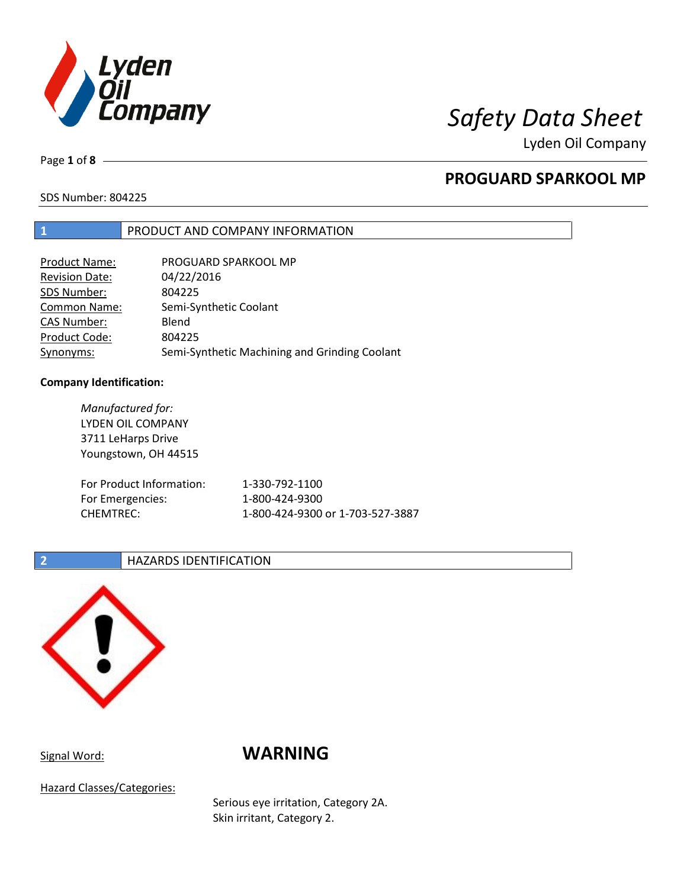

Lyden Oil Company

Page **1** of **8**

# **PROGUARD SPARKOOL MP**

SDS Number: 804225

## **1** PRODUCT AND COMPANY INFORMATION

| <b>Product Name:</b>  | PROGUARD SPARKOOL MP                          |
|-----------------------|-----------------------------------------------|
| <b>Revision Date:</b> | 04/22/2016                                    |
| SDS Number:           | 804225                                        |
| <b>Common Name:</b>   | Semi-Synthetic Coolant                        |
| <b>CAS Number:</b>    | Blend                                         |
| Product Code:         | 804225                                        |
| Synonyms:             | Semi-Synthetic Machining and Grinding Coolant |

### **Company Identification:**

*Manufactured for:* LYDEN OIL COMPANY 3711 LeHarps Drive Youngstown, OH 44515 For Product Information: 1-330-792-1100 For Emergencies: 1-800-424-9300 CHEMTREC: 1-800-424-9300 or 1-703-527-3887

### **2 HAZARDS IDENTIFICATION**



# Signal Word: **WARNING**

Hazard Classes/Categories:

Serious eye irritation, Category 2A. Skin irritant, Category 2.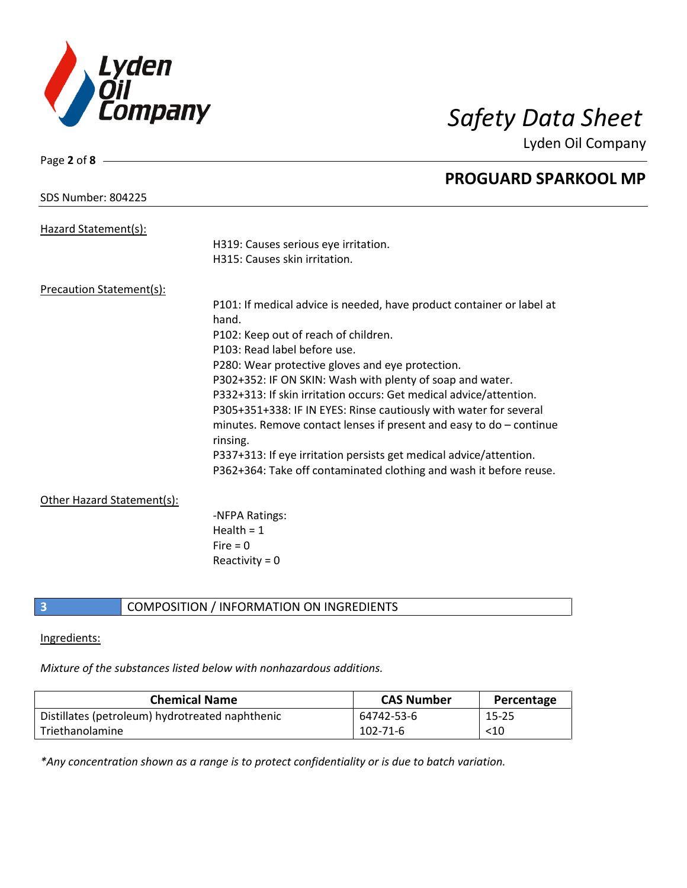

Page **2** of **8**

Lyden Oil Company

|                                 | <b>PROGUARD SPARKOOL MP</b>                                                       |
|---------------------------------|-----------------------------------------------------------------------------------|
| <b>SDS Number: 804225</b>       |                                                                                   |
| Hazard Statement(s):            |                                                                                   |
|                                 | H319: Causes serious eye irritation.                                              |
|                                 | H315: Causes skin irritation.                                                     |
| <b>Precaution Statement(s):</b> |                                                                                   |
|                                 | P101: If medical advice is needed, have product container or label at             |
|                                 | hand.                                                                             |
|                                 | P102: Keep out of reach of children.                                              |
|                                 | P103: Read label before use.                                                      |
|                                 | P280: Wear protective gloves and eye protection.                                  |
|                                 | P302+352: IF ON SKIN: Wash with plenty of soap and water.                         |
|                                 | P332+313: If skin irritation occurs: Get medical advice/attention.                |
|                                 | P305+351+338: IF IN EYES: Rinse cautiously with water for several                 |
|                                 | minutes. Remove contact lenses if present and easy to $do$ – continue<br>rinsing. |
|                                 | P337+313: If eye irritation persists get medical advice/attention.                |
|                                 | P362+364: Take off contaminated clothing and wash it before reuse.                |
| Other Hazard Statement(s):      |                                                                                   |
|                                 | -NFPA Ratings:                                                                    |
|                                 | Health = $1$                                                                      |
|                                 | $Fire = 0$                                                                        |
|                                 | Reactivity = $0$                                                                  |
|                                 |                                                                                   |

## **3** COMPOSITION / INFORMATION ON INGREDIENTS

### Ingredients:

*Mixture of the substances listed below with nonhazardous additions.*

| <b>Chemical Name</b>                            | <b>CAS Number</b> | Percentage |
|-------------------------------------------------|-------------------|------------|
| Distillates (petroleum) hydrotreated naphthenic | 64742-53-6        | $15 - 25$  |
| Triethanolamine                                 | $102 - 71 - 6$    | $<$ 10     |

*\*Any concentration shown as a range is to protect confidentiality or is due to batch variation.*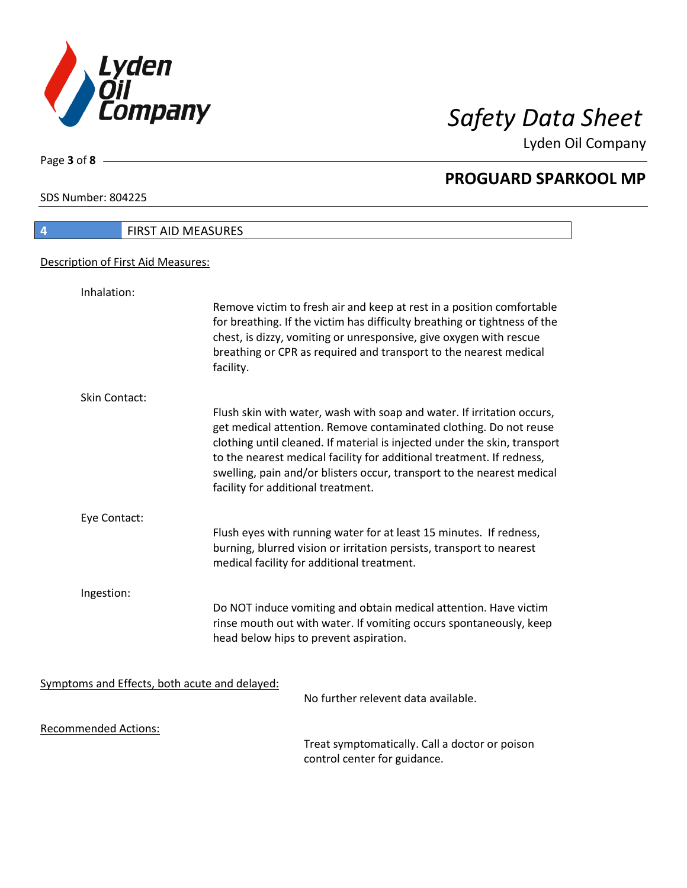

Lyden Oil Company

SDS Number: 804225

Page **3** of **8**

| <b>FIRST AID MEASURES</b><br>$\boldsymbol{A}$ |                                                                                                                                                                                                                                                                                                                                                                                                                   |  |
|-----------------------------------------------|-------------------------------------------------------------------------------------------------------------------------------------------------------------------------------------------------------------------------------------------------------------------------------------------------------------------------------------------------------------------------------------------------------------------|--|
| Description of First Aid Measures:            |                                                                                                                                                                                                                                                                                                                                                                                                                   |  |
| Inhalation:                                   |                                                                                                                                                                                                                                                                                                                                                                                                                   |  |
|                                               | Remove victim to fresh air and keep at rest in a position comfortable<br>for breathing. If the victim has difficulty breathing or tightness of the<br>chest, is dizzy, vomiting or unresponsive, give oxygen with rescue<br>breathing or CPR as required and transport to the nearest medical<br>facility.                                                                                                        |  |
| <b>Skin Contact:</b>                          |                                                                                                                                                                                                                                                                                                                                                                                                                   |  |
|                                               | Flush skin with water, wash with soap and water. If irritation occurs,<br>get medical attention. Remove contaminated clothing. Do not reuse<br>clothing until cleaned. If material is injected under the skin, transport<br>to the nearest medical facility for additional treatment. If redness,<br>swelling, pain and/or blisters occur, transport to the nearest medical<br>facility for additional treatment. |  |
| Eye Contact:                                  |                                                                                                                                                                                                                                                                                                                                                                                                                   |  |
|                                               | Flush eyes with running water for at least 15 minutes. If redness,<br>burning, blurred vision or irritation persists, transport to nearest<br>medical facility for additional treatment.                                                                                                                                                                                                                          |  |
| Ingestion:                                    |                                                                                                                                                                                                                                                                                                                                                                                                                   |  |
|                                               | Do NOT induce vomiting and obtain medical attention. Have victim<br>rinse mouth out with water. If vomiting occurs spontaneously, keep<br>head below hips to prevent aspiration.                                                                                                                                                                                                                                  |  |
| Symptoms and Effects, both acute and delayed: |                                                                                                                                                                                                                                                                                                                                                                                                                   |  |
|                                               | No further relevent data available.                                                                                                                                                                                                                                                                                                                                                                               |  |
| <b>Recommended Actions:</b>                   | Treat cumptamatically, Call a doctor or poison                                                                                                                                                                                                                                                                                                                                                                    |  |
|                                               |                                                                                                                                                                                                                                                                                                                                                                                                                   |  |

Treat symptomatically. Call a doctor or poison control center for guidance.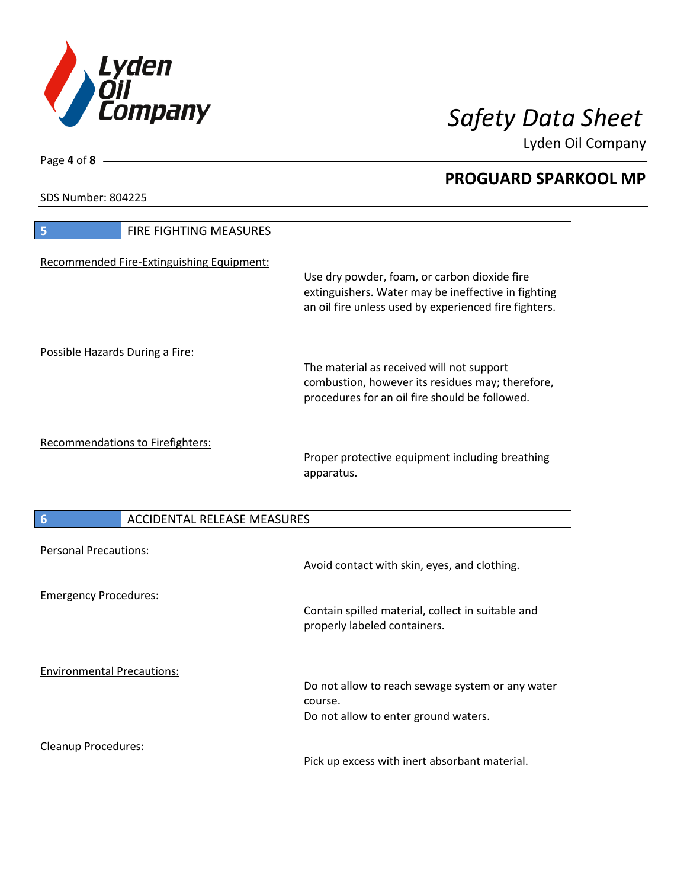

Lyden Oil Company

SDS Number: 804225

Cleanup Procedures:

| FIRE FIGHTING MEASURES<br>5                           |                                                                                                                                                              |
|-------------------------------------------------------|--------------------------------------------------------------------------------------------------------------------------------------------------------------|
| Recommended Fire-Extinguishing Equipment:             | Use dry powder, foam, or carbon dioxide fire<br>extinguishers. Water may be ineffective in fighting<br>an oil fire unless used by experienced fire fighters. |
| Possible Hazards During a Fire:                       | The material as received will not support<br>combustion, however its residues may; therefore,<br>procedures for an oil fire should be followed.              |
| <b>Recommendations to Firefighters:</b>               | Proper protective equipment including breathing<br>apparatus.                                                                                                |
| <b>ACCIDENTAL RELEASE MEASURES</b><br>$6\phantom{1}6$ |                                                                                                                                                              |
| <b>Personal Precautions:</b>                          | Avoid contact with skin, eyes, and clothing.                                                                                                                 |
| <b>Emergency Procedures:</b>                          | Contain spilled material, collect in suitable and<br>properly labeled containers.                                                                            |
| <b>Environmental Precautions:</b>                     | Do not allow to reach sewage system or any water<br>course.<br>Do not allow to enter ground waters.                                                          |

Pick up excess with inert absorbant material.

Page **4** of **8**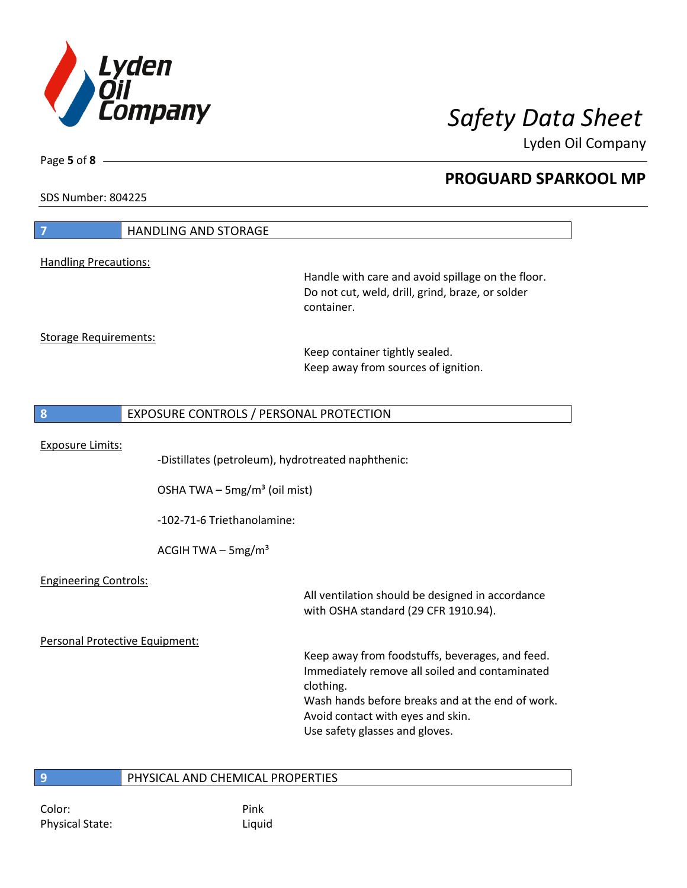

Lyden Oil Company

SDS Number: 804225

Page **5** of **8**

|                                | <b>HANDLING AND STORAGE</b>                        |                                                                                                                                                                                                                                           |
|--------------------------------|----------------------------------------------------|-------------------------------------------------------------------------------------------------------------------------------------------------------------------------------------------------------------------------------------------|
| <b>Handling Precautions:</b>   |                                                    |                                                                                                                                                                                                                                           |
|                                |                                                    | Handle with care and avoid spillage on the floor.<br>Do not cut, weld, drill, grind, braze, or solder<br>container.                                                                                                                       |
| <b>Storage Requirements:</b>   |                                                    | Keep container tightly sealed.<br>Keep away from sources of ignition.                                                                                                                                                                     |
| 8                              | EXPOSURE CONTROLS / PERSONAL PROTECTION            |                                                                                                                                                                                                                                           |
| <b>Exposure Limits:</b>        | -Distillates (petroleum), hydrotreated naphthenic: |                                                                                                                                                                                                                                           |
|                                | OSHA TWA $-$ 5mg/m <sup>3</sup> (oil mist)         |                                                                                                                                                                                                                                           |
|                                | -102-71-6 Triethanolamine:                         |                                                                                                                                                                                                                                           |
|                                | ACGIH TWA $-$ 5mg/m <sup>3</sup>                   |                                                                                                                                                                                                                                           |
| <b>Engineering Controls:</b>   |                                                    | All ventilation should be designed in accordance<br>with OSHA standard (29 CFR 1910.94).                                                                                                                                                  |
| Personal Protective Equipment: |                                                    |                                                                                                                                                                                                                                           |
|                                |                                                    | Keep away from foodstuffs, beverages, and feed.<br>Immediately remove all soiled and contaminated<br>clothing.<br>Wash hands before breaks and at the end of work.<br>Avoid contact with eyes and skin.<br>Use safety glasses and gloves. |
| 9                              | PHYSICAL AND CHEMICAL PROPERTIES                   |                                                                                                                                                                                                                                           |

Color: Pink Physical State: Liquid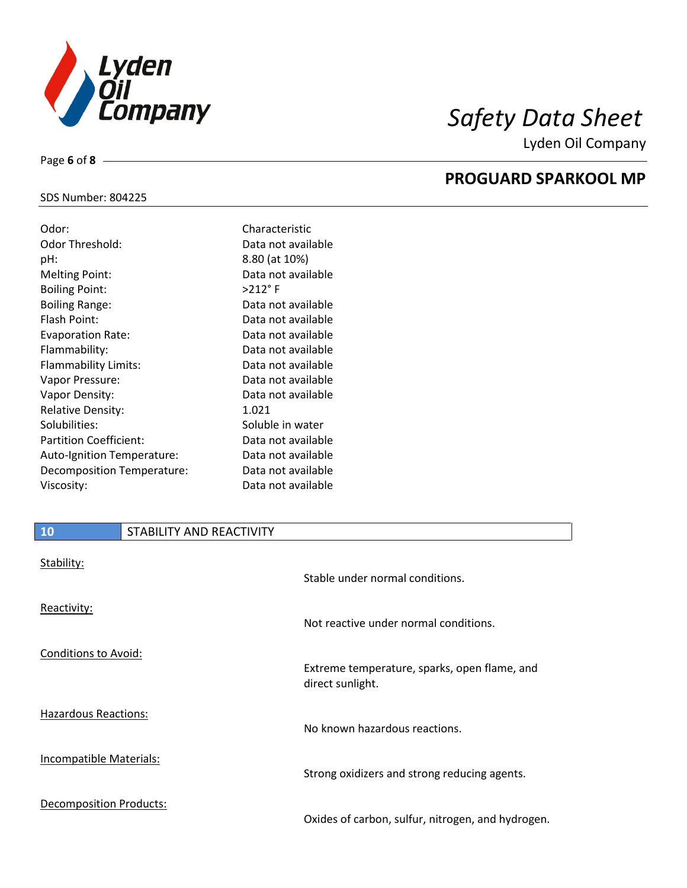

Lyden Oil Company

## SDS Number: 804225

Page **6** of **8**

| Odor:                         | Characteristic     |
|-------------------------------|--------------------|
| Odor Threshold:               | Data not available |
| pH:                           | 8.80 (at 10%)      |
| <b>Melting Point:</b>         | Data not available |
| <b>Boiling Point:</b>         | $>212$ °F          |
| <b>Boiling Range:</b>         | Data not available |
| Flash Point:                  | Data not available |
| <b>Evaporation Rate:</b>      | Data not available |
| Flammability:                 | Data not available |
| Flammability Limits:          | Data not available |
| Vapor Pressure:               | Data not available |
| Vapor Density:                | Data not available |
| <b>Relative Density:</b>      | 1.021              |
| Solubilities:                 | Soluble in water   |
| <b>Partition Coefficient:</b> | Data not available |
| Auto-Ignition Temperature:    | Data not available |
| Decomposition Temperature:    | Data not available |
| Viscosity:                    | Data not available |

# **PROGUARD SPARKOOL MP**

| 10                             | STABILITY AND REACTIVITY |                                                                  |
|--------------------------------|--------------------------|------------------------------------------------------------------|
| Stability:                     |                          | Stable under normal conditions.                                  |
| Reactivity:                    |                          | Not reactive under normal conditions.                            |
| Conditions to Avoid:           |                          | Extreme temperature, sparks, open flame, and<br>direct sunlight. |
| <b>Hazardous Reactions:</b>    |                          | No known hazardous reactions.                                    |
| <b>Incompatible Materials:</b> |                          | Strong oxidizers and strong reducing agents.                     |
| <b>Decomposition Products:</b> |                          | Oxides of carbon, sulfur, nitrogen, and hydrogen.                |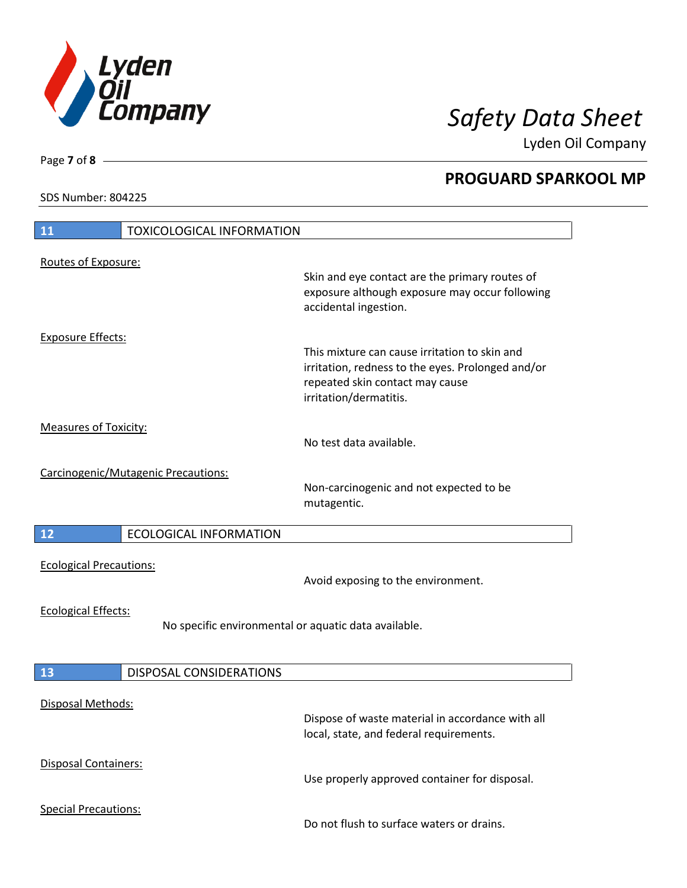

Lyden Oil Company

SDS Number: 804225

Page **7** of **8**

 $\overline{\phantom{a}}$ 

 $\overline{\phantom{a}}$ 

 $\overline{\phantom{a}}$ 

| 11                                                                                 | <b>TOXICOLOGICAL INFORMATION</b>    |                                                                                                                                                                 |
|------------------------------------------------------------------------------------|-------------------------------------|-----------------------------------------------------------------------------------------------------------------------------------------------------------------|
|                                                                                    |                                     |                                                                                                                                                                 |
| Routes of Exposure:                                                                |                                     | Skin and eye contact are the primary routes of<br>exposure although exposure may occur following<br>accidental ingestion.                                       |
| <b>Exposure Effects:</b>                                                           |                                     | This mixture can cause irritation to skin and<br>irritation, redness to the eyes. Prolonged and/or<br>repeated skin contact may cause<br>irritation/dermatitis. |
| <b>Measures of Toxicity:</b>                                                       |                                     | No test data available.                                                                                                                                         |
|                                                                                    | Carcinogenic/Mutagenic Precautions: | Non-carcinogenic and not expected to be<br>mutagentic.                                                                                                          |
| 12                                                                                 | <b>ECOLOGICAL INFORMATION</b>       |                                                                                                                                                                 |
| <b>Ecological Precautions:</b>                                                     |                                     | Avoid exposing to the environment.                                                                                                                              |
| <b>Ecological Effects:</b><br>No specific environmental or aquatic data available. |                                     |                                                                                                                                                                 |
|                                                                                    |                                     |                                                                                                                                                                 |
|                                                                                    |                                     |                                                                                                                                                                 |
| 13<br>Disposal Methods:                                                            | <b>DISPOSAL CONSIDERATIONS</b>      | Dispose of waste material in accordance with all<br>local, state, and federal requirements.                                                                     |
| Disposal Containers:                                                               |                                     | Use properly approved container for disposal.                                                                                                                   |